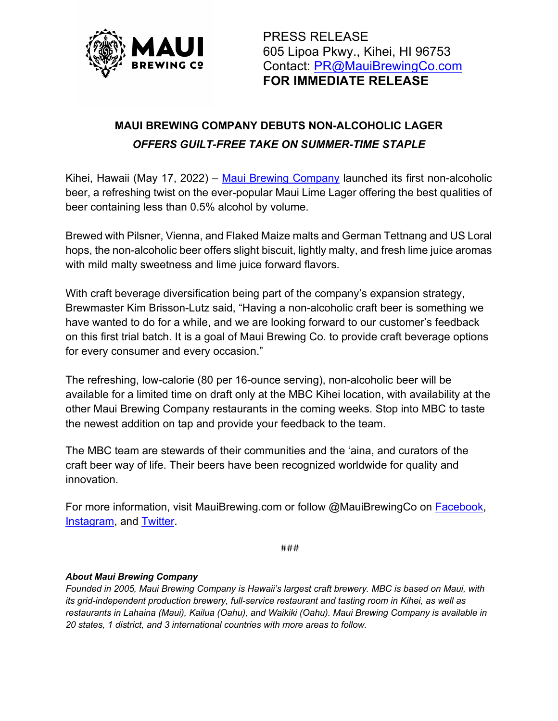

PRESS RELEASE 605 Lipoa Pkwy., Kihei, HI 96753 Contact: PR@MauiBrewingCo.com **FOR IMMEDIATE RELEASE**

## **MAUI BREWING COMPANY DEBUTS NON-ALCOHOLIC LAGER** *OFFERS GUILT-FREE TAKE ON SUMMER-TIME STAPLE*

Kihei, Hawaii (May 17, 2022) – Maui Brewing Company launched its first non-alcoholic beer, a refreshing twist on the ever-popular Maui Lime Lager offering the best qualities of beer containing less than 0.5% alcohol by volume.

Brewed with Pilsner, Vienna, and Flaked Maize malts and German Tettnang and US Loral hops, the non-alcoholic beer offers slight biscuit, lightly malty, and fresh lime juice aromas with mild malty sweetness and lime juice forward flavors.

With craft beverage diversification being part of the company's expansion strategy, Brewmaster Kim Brisson-Lutz said, "Having a non-alcoholic craft beer is something we have wanted to do for a while, and we are looking forward to our customer's feedback on this first trial batch. It is a goal of Maui Brewing Co. to provide craft beverage options for every consumer and every occasion."

The refreshing, low-calorie (80 per 16-ounce serving), non-alcoholic beer will be available for a limited time on draft only at the MBC Kihei location, with availability at the other Maui Brewing Company restaurants in the coming weeks. Stop into MBC to taste the newest addition on tap and provide your feedback to the team.

The MBC team are stewards of their communities and the 'aina, and curators of the craft beer way of life. Their beers have been recognized worldwide for quality and innovation.

For more information, visit MauiBrewing.com or follow @MauiBrewingCo on Facebook, Instagram, and Twitter.

###

## *About Maui Brewing Company*

*Founded in 2005, Maui Brewing Company is Hawaii's largest craft brewery. MBC is based on Maui, with its grid-independent production brewery, full-service restaurant and tasting room in Kihei, as well as restaurants in Lahaina (Maui), Kailua (Oahu), and Waikiki (Oahu). Maui Brewing Company is available in 20 states, 1 district, and 3 international countries with more areas to follow.*